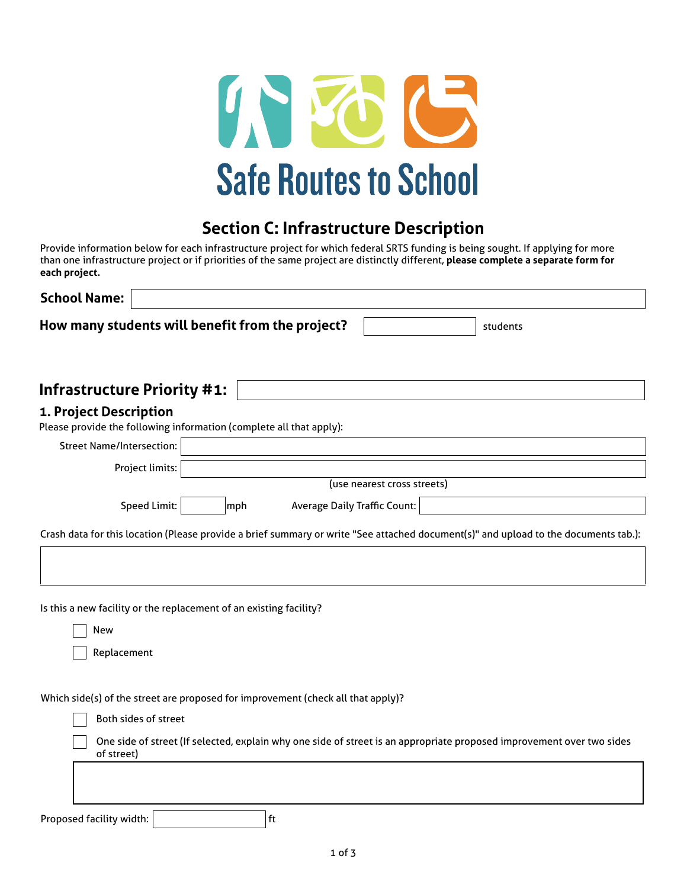

# **Section C: Infrastructure Description**

Provide information below for each infrastructure project for which federal SRTS funding is being sought. If applying for more than one infrastructure project or if priorities of the same project are distinctly different, **please complete a separate form for each project.**

| <b>School Name:</b>                                                                           |     |                                     |                             |                                                                                                                                     |
|-----------------------------------------------------------------------------------------------|-----|-------------------------------------|-----------------------------|-------------------------------------------------------------------------------------------------------------------------------------|
| How many students will benefit from the project?                                              |     |                                     |                             | students                                                                                                                            |
| <b>Infrastructure Priority #1:</b>                                                            |     |                                     |                             |                                                                                                                                     |
| 1. Project Description<br>Please provide the following information (complete all that apply): |     |                                     |                             |                                                                                                                                     |
| <b>Street Name/Intersection:</b>                                                              |     |                                     |                             |                                                                                                                                     |
| Project limits:                                                                               |     |                                     |                             |                                                                                                                                     |
|                                                                                               |     |                                     | (use nearest cross streets) |                                                                                                                                     |
| <b>Speed Limit:</b>                                                                           | mph | <b>Average Daily Traffic Count:</b> |                             |                                                                                                                                     |
|                                                                                               |     |                                     |                             | Crash data for this location (Please provide a brief summary or write "See attached document(s)" and upload to the documents tab.): |
|                                                                                               |     |                                     |                             |                                                                                                                                     |
| Is this a new facility or the replacement of an existing facility?<br><b>New</b>              |     |                                     |                             |                                                                                                                                     |
| Replacement                                                                                   |     |                                     |                             |                                                                                                                                     |
| Which side(s) of the street are proposed for improvement (check all that apply)?              |     |                                     |                             |                                                                                                                                     |
| Both sides of street                                                                          |     |                                     |                             |                                                                                                                                     |
| of street)                                                                                    |     |                                     |                             | One side of street (If selected, explain why one side of street is an appropriate proposed improvement over two sides               |
|                                                                                               |     |                                     |                             |                                                                                                                                     |
| Proposed facility width:                                                                      |     | ft                                  |                             |                                                                                                                                     |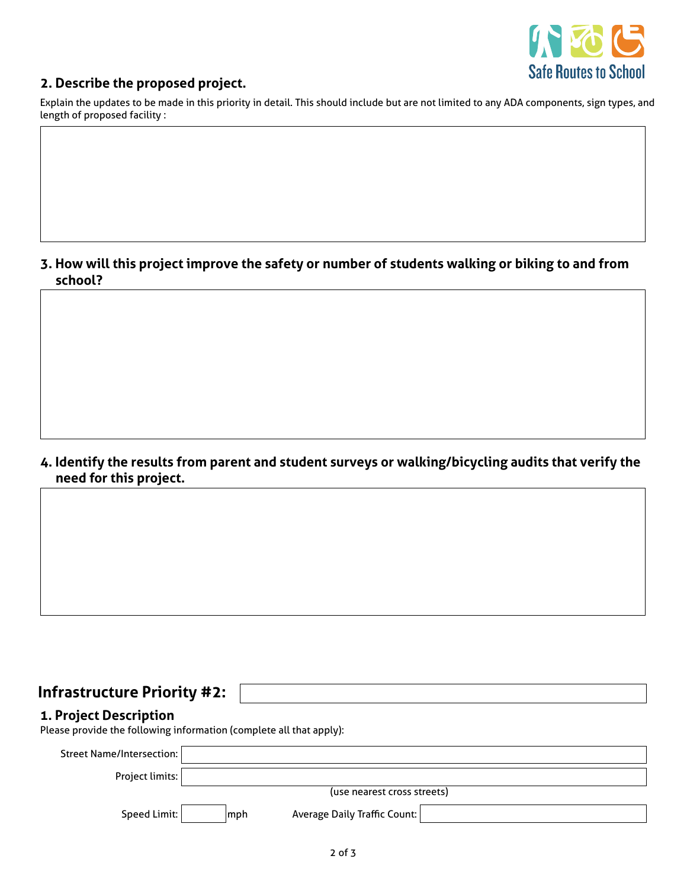

### **2. Describe the proposed project.**

Explain the updates to be made in this priority in detail. This should include but are not limited to any ADA components, sign types, and length of proposed facility :

### **3. How will this project improve the safety or number of students walking or biking to and from school?**

### **4. Identify the results from parent and student surveys or walking/bicycling audits that verify the need for this project.**

## **Infrastructure Priority #2:**

### **1. Project Description**

Please provide the following information (complete all that apply):

| Street Name/Intersection: |             |                              |  |
|---------------------------|-------------|------------------------------|--|
| Project limits:           |             |                              |  |
|                           |             | (use nearest cross streets)  |  |
| Speed Limit:              | <b>Imph</b> | Average Daily Traffic Count: |  |